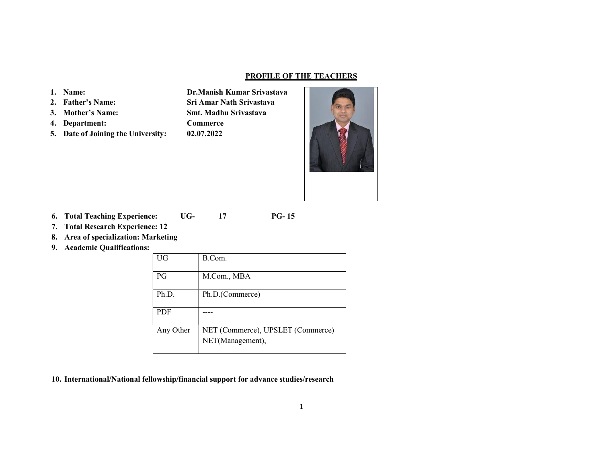#### PROFILE OF THE TEACHERS

#### 1. Name:

- 2. Father's Name:
- 3. Mother's Name:
- 4. Department:
- 5. Date of Joining the University:

Dr.Manish Kumar Srivastava Sri Amar Nath Srivastava Smt. Madhu Srivastava Commerce 02.07.2022



- 6. Total Teaching Experience: UG- 17 PG- 15
- 7. Total Research Experience: 12
- 8. Area of specialization: Marketing
- 9. Academic Qualifications:

| UG         | B.Com.                            |
|------------|-----------------------------------|
| PG         | M.Com., MBA                       |
| Ph.D.      | Ph.D.(Commerce)                   |
| <b>PDF</b> |                                   |
| Any Other  | NET (Commerce), UPSLET (Commerce) |
|            | NET(Management),                  |

10. International/National fellowship/financial support for advance studies/research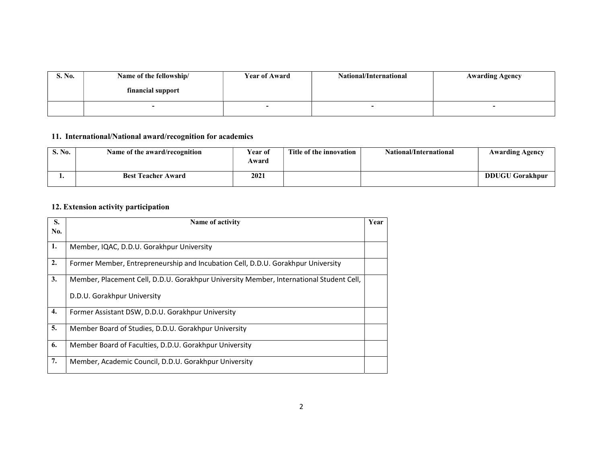| S. No. | Name of the fellowship/ | <b>Year of Award</b> | National/International | <b>Awarding Agency</b> |
|--------|-------------------------|----------------------|------------------------|------------------------|
|        | financial support       |                      |                        |                        |
|        |                         |                      |                        |                        |

# 11. International/National award/recognition for academics

| S. No. | Name of the award/recognition | Year of<br>Award | Title of the innovation | National/International | <b>Awarding Agency</b> |
|--------|-------------------------------|------------------|-------------------------|------------------------|------------------------|
|        | <b>Best Teacher Award</b>     | 2021             |                         |                        | <b>DDUGU Gorakhpur</b> |

# 12. Extension activity participation

| S.  | Name of activity                                                                        | Year |
|-----|-----------------------------------------------------------------------------------------|------|
| No. |                                                                                         |      |
| 1.  | Member, IQAC, D.D.U. Gorakhpur University                                               |      |
| 2.  | Former Member, Entrepreneurship and Incubation Cell, D.D.U. Gorakhpur University        |      |
| 3.  | Member, Placement Cell, D.D.U. Gorakhpur University Member, International Student Cell, |      |
|     | D.D.U. Gorakhpur University                                                             |      |
| 4.  | Former Assistant DSW, D.D.U. Gorakhpur University                                       |      |
| 5.  | Member Board of Studies, D.D.U. Gorakhpur University                                    |      |
| 6.  | Member Board of Faculties, D.D.U. Gorakhpur University                                  |      |
| 7.  | Member, Academic Council, D.D.U. Gorakhpur University                                   |      |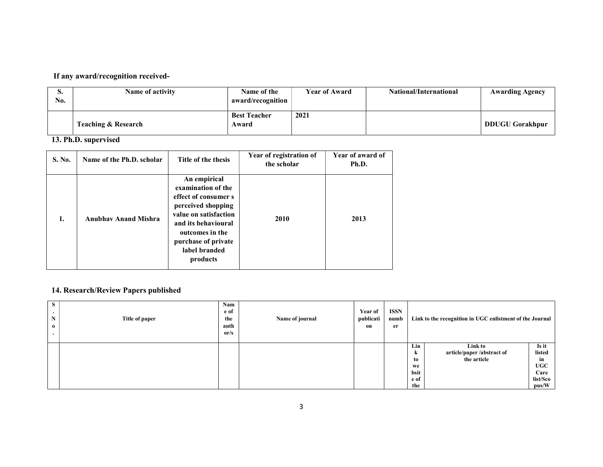# If any award/recognition received-

| ◡<br>No. | Name of activity               | Name of the<br>award/recognition | <b>Year of Award</b> | National/International | <b>Awarding Agency</b> |
|----------|--------------------------------|----------------------------------|----------------------|------------------------|------------------------|
|          | <b>Teaching &amp; Research</b> | <b>Best Teacher</b><br>Award     | 2021                 |                        | <b>DDUGU Gorakhpur</b> |

#### 13. Ph.D. supervised

| <b>S. No.</b> | Name of the Ph.D. scholar   | Title of the thesis                                                                                                                                                                                     | Year of registration of<br>the scholar | Year of award of<br>Ph.D. |
|---------------|-----------------------------|---------------------------------------------------------------------------------------------------------------------------------------------------------------------------------------------------------|----------------------------------------|---------------------------|
| 1.            | <b>Anubhav Anand Mishra</b> | An empirical<br>examination of the<br>effect of consumer s<br>perceived shopping<br>value on satisfaction<br>and its behavioural<br>outcomes in the<br>purchase of private<br>label branded<br>products | <b>2010</b>                            | 2013                      |

# 14. Research/Review Papers published

| <b>S</b><br>N<br>$\bf{0}$ | Title of paper | Nam<br>e of<br>the<br>auth<br>or/s | Name of journal | <b>Year of</b><br>publicati<br>on | ISSN<br>numb<br>er |                                             | Link to the recognition in UGC enlistment of the Journal |                                                                  |
|---------------------------|----------------|------------------------------------|-----------------|-----------------------------------|--------------------|---------------------------------------------|----------------------------------------------------------|------------------------------------------------------------------|
|                           |                |                                    |                 |                                   |                    | Lin<br>k<br>to<br>we<br>bsit<br>e of<br>the | Link to<br>article/paper /abstract of<br>the article     | Is it<br>listed<br>in<br><b>UGC</b><br>Care<br>list/Sco<br>pus/W |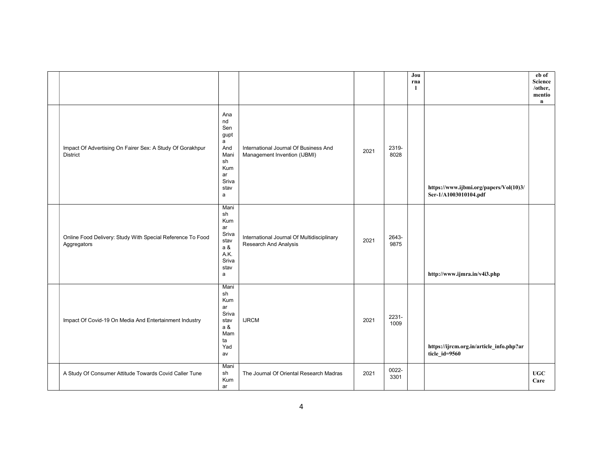|                                                                              |                                                                                                  |                                                                       |      |               | Jou<br>rna<br>-1 |                                                                 | eb of<br>Science<br>/other,<br>mentio<br>$\mathbf{n}$ |
|------------------------------------------------------------------------------|--------------------------------------------------------------------------------------------------|-----------------------------------------------------------------------|------|---------------|------------------|-----------------------------------------------------------------|-------------------------------------------------------|
| Impact Of Advertising On Fairer Sex: A Study Of Gorakhpur<br><b>District</b> | Ana<br>nd<br>Sen<br>gupt<br>$\mathsf{a}$<br>And<br>Mani<br>sh<br>Kum<br>ar<br>Sriva<br>stav<br>a | International Journal Of Business And<br>Management Invention (IJBMI) | 2021 | 2319-<br>8028 |                  | https://www.ijbmi.org/papers/Vol(10)3/<br>Ser-1/A1003010104.pdf |                                                       |
| Online Food Delivery: Study With Special Reference To Food<br>Aggregators    | Mani<br>sh<br>Kum<br>ar<br>Sriva<br>stav<br>a &<br>A.K.<br>Sriva<br>stav<br>a                    | International Journal Of Multidisciplinary<br>Research And Analysis   | 2021 | 2643-<br>9875 |                  | http://www.ijmra.in/v4i3.php                                    |                                                       |
| Impact Of Covid-19 On Media And Entertainment Industry                       | Mani<br>sh<br>Kum<br>ar<br>Sriva<br>stav<br>a &<br>Mam<br>ta<br>Yad<br>av                        | <b>IJRCM</b>                                                          | 2021 | 2231-<br>1009 |                  | https://ijrcm.org.in/article_info.php?ar<br>ticle_id=9560       |                                                       |
| A Study Of Consumer Attitude Towards Covid Caller Tune                       | Mani<br>sh<br>Kum<br>ar                                                                          | The Journal Of Oriental Research Madras                               | 2021 | 0022-<br>3301 |                  |                                                                 | ${\bf UGC}$<br>Care                                   |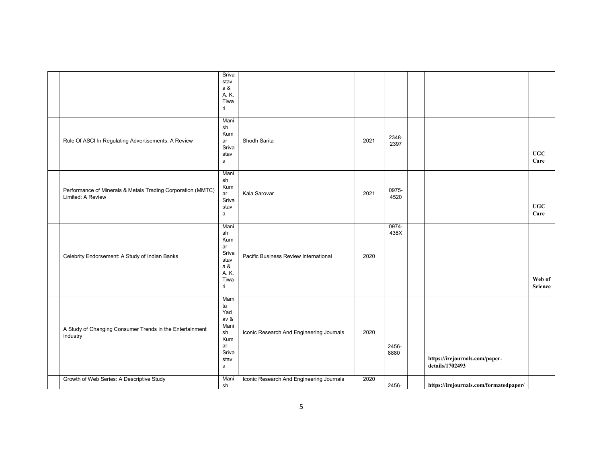|                                                                                  | Sriva<br>stav<br>a &<br>A. K.<br>Tiwa<br>ri                               |                                          |      |               |                                                   |                     |
|----------------------------------------------------------------------------------|---------------------------------------------------------------------------|------------------------------------------|------|---------------|---------------------------------------------------|---------------------|
| Role Of ASCI In Regulating Advertisements: A Review                              | Mani<br>sh<br>Kum<br>ar<br>Sriva<br>stav<br>a                             | Shodh Sarita                             | 2021 | 2348-<br>2397 |                                                   | <b>UGC</b><br>Care  |
| Performance of Minerals & Metals Trading Corporation (MMTC)<br>Limited: A Review | Mani<br>sh<br>Kum<br>ar<br>Sriva<br>stav<br>a                             | Kala Sarovar                             | 2021 | 0975-<br>4520 |                                                   | ${\bf UGC}$<br>Care |
| Celebrity Endorsement: A Study of Indian Banks                                   | Mani<br>sh<br>Kum<br>ar<br>Sriva<br>stav<br>a &<br>A. K.<br>Tiwa<br>ri    | Pacific Business Review International    | 2020 | 0974-<br>438X |                                                   | Web of<br>Science   |
| A Study of Changing Consumer Trends in the Entertainment<br>Industry             | Mam<br>ta<br>Yad<br>av &<br>Mani<br>sh<br>Kum<br>ar<br>Sriva<br>stav<br>a | Iconic Research And Engineering Journals | 2020 | 2456-<br>8880 | https://irejournals.com/paper-<br>details/1702493 |                     |
| Growth of Web Series: A Descriptive Study                                        | Mani<br>sh                                                                | Iconic Research And Engineering Journals | 2020 | 2456-         | https://irejournals.com/formatedpaper/            |                     |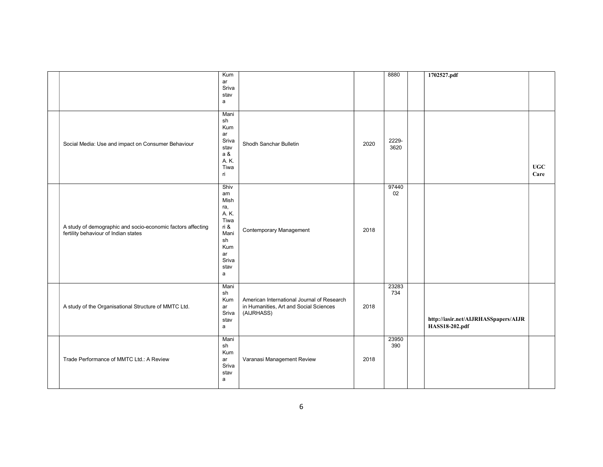|                                                             | Kum          |                                            |      | 8880  | 1702527.pdf                          |      |
|-------------------------------------------------------------|--------------|--------------------------------------------|------|-------|--------------------------------------|------|
|                                                             | ar           |                                            |      |       |                                      |      |
|                                                             | Sriva        |                                            |      |       |                                      |      |
|                                                             | stav         |                                            |      |       |                                      |      |
|                                                             | a            |                                            |      |       |                                      |      |
|                                                             |              |                                            |      |       |                                      |      |
|                                                             | Mani         |                                            |      |       |                                      |      |
|                                                             | sh           |                                            |      |       |                                      |      |
|                                                             | Kum          |                                            |      |       |                                      |      |
|                                                             | ar           |                                            |      |       |                                      |      |
|                                                             | Sriva        |                                            |      | 2229- |                                      |      |
| Social Media: Use and impact on Consumer Behaviour          | stav         | Shodh Sanchar Bulletin                     | 2020 | 3620  |                                      |      |
|                                                             | a &          |                                            |      |       |                                      |      |
|                                                             | A. K.        |                                            |      |       |                                      |      |
|                                                             | Tiwa         |                                            |      |       |                                      | UGC  |
|                                                             | ri           |                                            |      |       |                                      | Care |
|                                                             |              |                                            |      |       |                                      |      |
|                                                             | Shiv         |                                            |      | 97440 |                                      |      |
|                                                             | am           |                                            |      | 02    |                                      |      |
|                                                             | Mish         |                                            |      |       |                                      |      |
|                                                             | ra,          |                                            |      |       |                                      |      |
|                                                             | A. K.        |                                            |      |       |                                      |      |
|                                                             | Tiwa         |                                            |      |       |                                      |      |
| A study of demographic and socio-economic factors affecting | ri &         |                                            |      |       |                                      |      |
| fertility behaviour of Indian states                        | Mani         | Contemporary Management                    | 2018 |       |                                      |      |
|                                                             | sh           |                                            |      |       |                                      |      |
|                                                             | Kum          |                                            |      |       |                                      |      |
|                                                             | ar           |                                            |      |       |                                      |      |
|                                                             | Sriva        |                                            |      |       |                                      |      |
|                                                             | stav         |                                            |      |       |                                      |      |
|                                                             | $\mathsf{a}$ |                                            |      |       |                                      |      |
|                                                             |              |                                            |      |       |                                      |      |
|                                                             | Mani         |                                            |      | 23283 |                                      |      |
|                                                             | sh           |                                            |      | 734   |                                      |      |
|                                                             | Kum          | American International Journal of Research |      |       |                                      |      |
| A study of the Organisational Structure of MMTC Ltd.        | ar           | in Humanities, Art and Social Sciences     | 2018 |       |                                      |      |
|                                                             | Sriva        | (AIJRHASS)                                 |      |       |                                      |      |
|                                                             | stav         |                                            |      |       | http://iasir.net/AIJRHASSpapers/AIJR |      |
|                                                             | $\mathsf{a}$ |                                            |      |       | HASS18-202.pdf                       |      |
|                                                             |              |                                            |      |       |                                      |      |
|                                                             | Mani         |                                            |      | 23950 |                                      |      |
|                                                             | sh           |                                            |      | 390   |                                      |      |
|                                                             | Kum          |                                            |      |       |                                      |      |
| Trade Performance of MMTC Ltd.: A Review                    | ar           | Varanasi Management Review                 | 2018 |       |                                      |      |
|                                                             | Sriva        |                                            |      |       |                                      |      |
|                                                             | stav         |                                            |      |       |                                      |      |
|                                                             | a            |                                            |      |       |                                      |      |
|                                                             |              |                                            |      |       |                                      |      |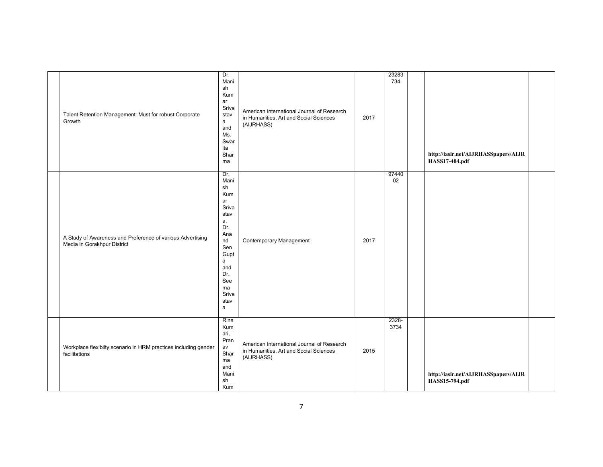| Talent Retention Management: Must for robust Corporate<br>Growth                          | Dr.<br>Mani<br>sh<br>Kum<br>ar<br>Sriva<br>stav<br>$\mathsf{a}$<br>and<br>Ms.<br>Swar<br>ita<br>Shar<br>ma                                                | American International Journal of Research<br>in Humanities, Art and Social Sciences<br>(AIJRHASS) | 2017 | 23283<br>734  | http://iasir.net/AIJRHASSpapers/AIJR<br>HASS17-404.pdf |
|-------------------------------------------------------------------------------------------|-----------------------------------------------------------------------------------------------------------------------------------------------------------|----------------------------------------------------------------------------------------------------|------|---------------|--------------------------------------------------------|
| A Study of Awareness and Preference of various Advertising<br>Media in Gorakhpur District | Dr.<br>Mani<br>sh<br>Kum<br>ar<br>Sriva<br>stav<br>а,<br>Dr.<br>Ana<br>nd<br>Sen<br>Gupt<br>$\mathsf{a}$<br>and<br>Dr.<br>See<br>ma<br>Sriva<br>stav<br>a | <b>Contemporary Management</b>                                                                     | 2017 | 97440<br>02   |                                                        |
| Workplace flexibilty scenario in HRM practices including gender<br>facilitations          | Rina<br>Kum<br>ari,<br>Pran<br>av<br>Shar<br>ma<br>and<br>Mani<br>sh<br>Kum                                                                               | American International Journal of Research<br>in Humanities, Art and Social Sciences<br>(AIJRHASS) | 2015 | 2328-<br>3734 | http://iasir.net/AIJRHASSpapers/AIJR<br>HASS15-794.pdf |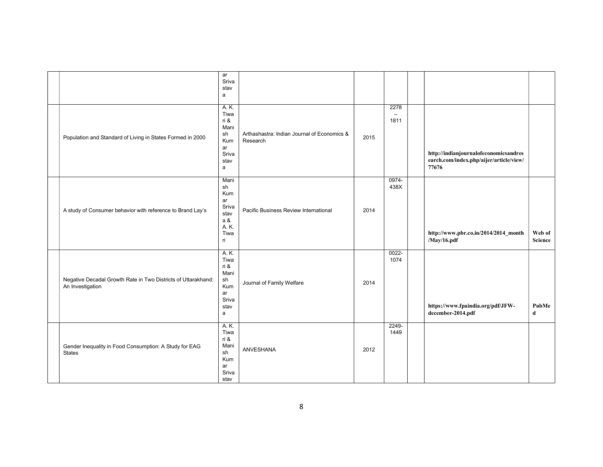|                                                                                   | ar<br>Sriva<br>stav<br>a                                               |                                                         |      |                          |                                                                                           |                          |
|-----------------------------------------------------------------------------------|------------------------------------------------------------------------|---------------------------------------------------------|------|--------------------------|-------------------------------------------------------------------------------------------|--------------------------|
| Population and Standard of Living in States Formed in 2000                        | A. K.<br>Tiwa<br>ri &<br>Mani<br>sh<br>Kum<br>ar<br>Sriva<br>stav<br>a | Arthashastra: Indian Journal of Economics &<br>Research | 2015 | 2278<br>$\equiv$<br>1811 | http://indianjournalofeconomicsandres<br>earch.com/index.php/aijer/article/view/<br>77676 |                          |
| A study of Consumer behavior with reference to Brand Lay's                        | Mani<br>sh<br>Kum<br>ar<br>Sriva<br>stav<br>a &<br>A. K.<br>Tiwa<br>ri | Pacific Business Review International                   | 2014 | 0974-<br>438X            | http://www.pbr.co.in/2014/2014_month<br>/May/16.pdf                                       | Web of<br><b>Science</b> |
| Negative Decadal Growth Rate in Two Districts of Uttarakhand:<br>An Investigation | A. K.<br>Tiwa<br>ri &<br>Mani<br>sh<br>Kum<br>ar<br>Sriva<br>stav<br>a | Journal of Family Welfare                               | 2014 | 0022-<br>1074            | https://www.fpaindia.org/pdf/JFW-<br>december-2014.pdf                                    | PubMe<br>d               |
| Gender Inequality in Food Consumption: A Study for EAG<br><b>States</b>           | A. K.<br>Tiwa<br>ri &<br>Mani<br>sh<br>Kum<br>ar<br>Sriva<br>stav      | ANVESHANA                                               | 2012 | 2249-<br>1449            |                                                                                           |                          |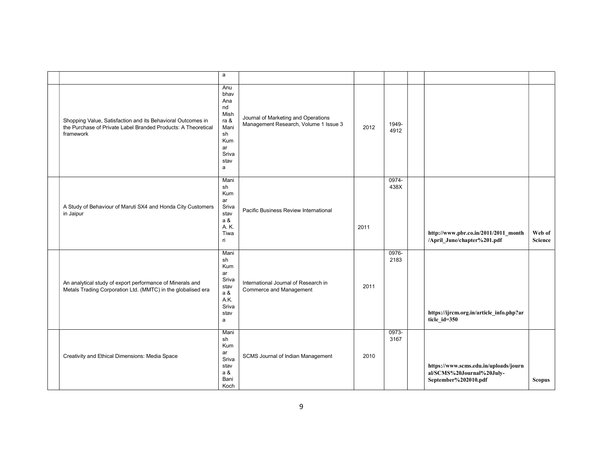|                                                                                                                                           | a                                                                                                |                                                                              |      |               |                                                                                            |                          |
|-------------------------------------------------------------------------------------------------------------------------------------------|--------------------------------------------------------------------------------------------------|------------------------------------------------------------------------------|------|---------------|--------------------------------------------------------------------------------------------|--------------------------|
| Shopping Value, Satisfaction and its Behavioral Outcomes in<br>the Purchase of Private Label Branded Products: A Theoretical<br>framework | Anu<br>bhav<br>Ana<br>nd<br>Mish<br>ra &<br>Mani<br>sh<br><b>Kum</b><br>ar<br>Sriva<br>stav<br>a | Journal of Marketing and Operations<br>Management Research, Volume 1 Issue 3 | 2012 | 1949-<br>4912 |                                                                                            |                          |
| A Study of Behaviour of Maruti SX4 and Honda City Customers<br>in Jaipur                                                                  | Mani<br>sh<br>Kum<br>ar<br>Sriva<br>stav<br>a &<br>A. K.<br>Tiwa<br>ri                           | Pacific Business Review International                                        | 2011 | 0974-<br>438X | http://www.pbr.co.in/2011/2011_month<br>/April_June/chapter%201.pdf                        | Web of<br><b>Science</b> |
| An analytical study of export performance of Minerals and<br>Metals Trading Corporation Ltd. (MMTC) in the globalised era                 | Mani<br>sh<br>Kum<br>ar<br>Sriva<br>stav<br>a &<br>A.K.<br>Sriva<br>stav<br>a                    | International Journal of Research in<br>Commerce and Management              | 2011 | 0976-<br>2183 | https://ijrcm.org.in/article_info.php?ar<br>ticle_id=350                                   |                          |
| Creativity and Ethical Dimensions: Media Space                                                                                            | Mani<br>sh<br>Kum<br>ar<br>Sriva<br>stav<br>a &<br>Bani<br>Koch                                  | SCMS Journal of Indian Management                                            | 2010 | 0973-<br>3167 | https://www.scms.edu.in/uploads/journ<br>al/SCMS%20Journal%20July-<br>September%202010.pdf | <b>Scopus</b>            |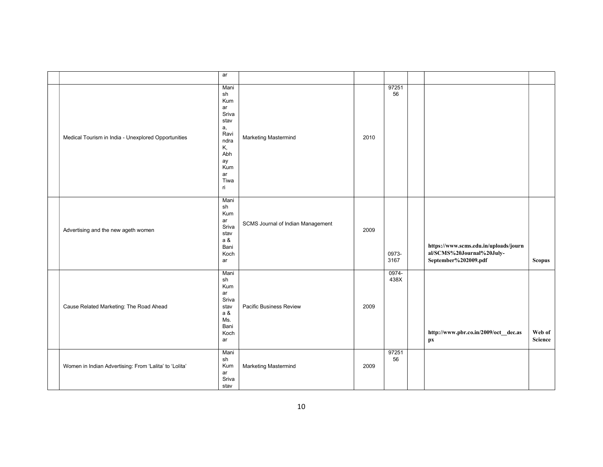|                                                        | ar                                                                                                           |                                   |      |               |                                                                                            |                          |
|--------------------------------------------------------|--------------------------------------------------------------------------------------------------------------|-----------------------------------|------|---------------|--------------------------------------------------------------------------------------------|--------------------------|
| Medical Tourism in India - Unexplored Opportunities    | Mani<br>sh<br>Kum<br>ar<br>Sriva<br>stav<br>а,<br>Ravi<br>ndra<br>Κ,<br>Abh<br>ay<br>Kum<br>ar<br>Tiwa<br>ri | Marketing Mastermind              | 2010 | 97251<br>56   |                                                                                            |                          |
| Advertising and the new ageth women                    | Mani<br>sh<br>Kum<br>ar<br>Sriva<br>stav<br>a &<br>Bani<br>Koch<br>ar                                        | SCMS Journal of Indian Management | 2009 | 0973-<br>3167 | https://www.scms.edu.in/uploads/journ<br>al/SCMS%20Journal%20July-<br>September%202009.pdf | <b>Scopus</b>            |
| Cause Related Marketing: The Road Ahead                | Mani<br>sh<br>Kum<br>ar<br>Sriva<br>stav<br>a &<br>Ms.<br>Bani<br>Koch<br>ar                                 | Pacific Business Review           | 2009 | 0974-<br>438X | http://www.pbr.co.in/2009/oct_dec.as<br>px                                                 | Web of<br><b>Science</b> |
| Women in Indian Advertising: From 'Lalita' to 'Lolita' | Mani<br>sh<br>Kum<br>ar<br>Sriva<br>stav                                                                     | Marketing Mastermind              | 2009 | 97251<br>56   |                                                                                            |                          |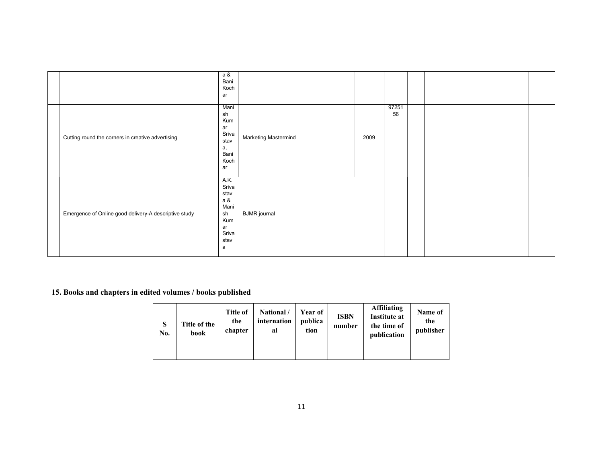|                                                       | a &<br>Bani<br>Koch<br>ar                                                     |                      |      |             |  |  |
|-------------------------------------------------------|-------------------------------------------------------------------------------|----------------------|------|-------------|--|--|
| Cutting round the corners in creative advertising     | Mani<br>sh<br>Kum<br>ar<br>Sriva<br>stav<br>a,<br>Bani<br>Koch<br>ar          | Marketing Mastermind | 2009 | 97251<br>56 |  |  |
| Emergence of Online good delivery-A descriptive study | A.K.<br>Sriva<br>stav<br>a &<br>Mani<br>sh<br>Kum<br>ar<br>Sriva<br>stav<br>a | <b>BJMR</b> journal  |      |             |  |  |

15. Books and chapters in edited volumes / books published

| S<br>No. | Title of the<br>book | Title of<br>the<br>chapter | National /<br>internation<br>al | <b>Year of</b><br>publica<br>tion | <b>ISBN</b><br>number | <b>Affiliating</b><br><b>Institute at</b><br>the time of<br>publication | Name of<br>the<br>publisher |
|----------|----------------------|----------------------------|---------------------------------|-----------------------------------|-----------------------|-------------------------------------------------------------------------|-----------------------------|
|----------|----------------------|----------------------------|---------------------------------|-----------------------------------|-----------------------|-------------------------------------------------------------------------|-----------------------------|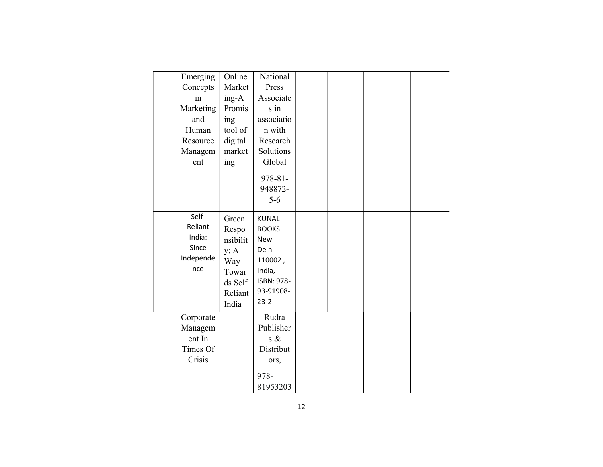| Emerging  | Online   | National     |  |  |
|-----------|----------|--------------|--|--|
| Concepts  | Market   | Press        |  |  |
| in        | $ing-A$  | Associate    |  |  |
| Marketing | Promis   | s in         |  |  |
| and       | ing      | associatio   |  |  |
| Human     | tool of  | n with       |  |  |
| Resource  | digital  | Research     |  |  |
| Managem   | market   | Solutions    |  |  |
| ent       | ing      | Global       |  |  |
|           |          | $978 - 81 -$ |  |  |
|           |          | 948872-      |  |  |
|           |          | $5 - 6$      |  |  |
|           |          |              |  |  |
| Self-     | Green    | <b>KUNAL</b> |  |  |
| Reliant   | Respo    | <b>BOOKS</b> |  |  |
| India:    | nsibilit | <b>New</b>   |  |  |
| Since     | y: A     | Delhi-       |  |  |
| Independe | Way      | 110002,      |  |  |
| nce       | Towar    | India,       |  |  |
|           | ds Self  | ISBN: 978-   |  |  |
|           | Reliant  | 93-91908-    |  |  |
|           | India    | $23-2$       |  |  |
| Corporate |          | Rudra        |  |  |
| Managem   |          | Publisher    |  |  |
| ent In    |          | $s \&$       |  |  |
| Times Of  |          | Distribut    |  |  |
| Crisis    |          | ors,         |  |  |
|           |          | 978-         |  |  |
|           |          | 81953203     |  |  |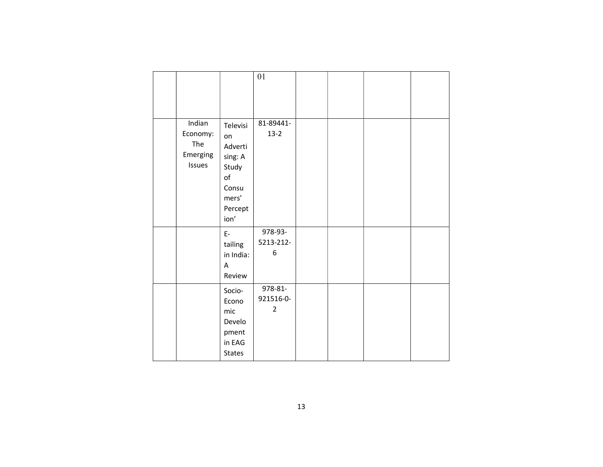|                                                 |                                                                                          | 01                                     |  |  |
|-------------------------------------------------|------------------------------------------------------------------------------------------|----------------------------------------|--|--|
| Indian<br>Economy:<br>The<br>Emerging<br>Issues | Televisi<br>on<br>Adverti<br>sing: A<br>Study<br>of<br>Consu<br>mers'<br>Percept<br>ion' | 81-89441-<br>$13 - 2$                  |  |  |
|                                                 | $E-$<br>tailing<br>in India:<br>A<br>Review                                              | 978-93-<br>5213-212-<br>6              |  |  |
|                                                 | Socio-<br>Econo<br>mic<br>Develo<br>pment<br>in EAG<br><b>States</b>                     | 978-81-<br>921516-0-<br>$\overline{2}$ |  |  |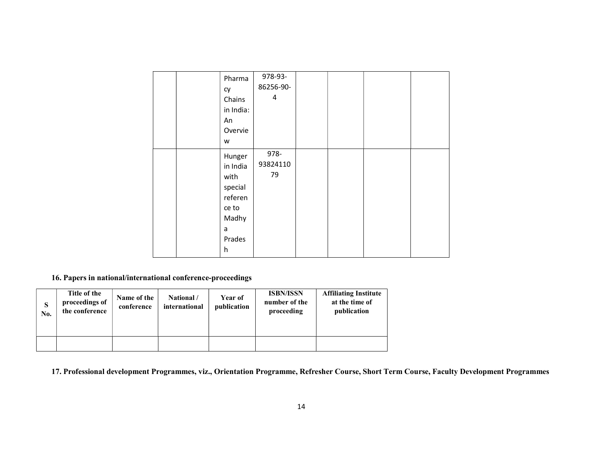|  | Pharma<br>cy<br>Chains<br>in India:<br>An<br>Overvie<br>W                              | 978-93-<br>86256-90-<br>4 |  |  |
|--|----------------------------------------------------------------------------------------|---------------------------|--|--|
|  | Hunger<br>in India<br>with<br>special<br>referen<br>ce to<br>Madhy<br>a<br>Prades<br>h | 978-<br>93824110<br>79    |  |  |

16. Papers in national/international conference-proceedings

| S<br>No. | Title of the<br>proceedings of<br>the conference | Name of the<br>conference | National /<br>international | Year of<br>publication | <b>ISBN/ISSN</b><br>number of the<br>proceeding | <b>Affiliating Institute</b><br>at the time of<br>publication |
|----------|--------------------------------------------------|---------------------------|-----------------------------|------------------------|-------------------------------------------------|---------------------------------------------------------------|
|          |                                                  |                           |                             |                        |                                                 |                                                               |

17. Professional development Programmes, viz., Orientation Programme, Refresher Course, Short Term Course, Faculty Development Programmes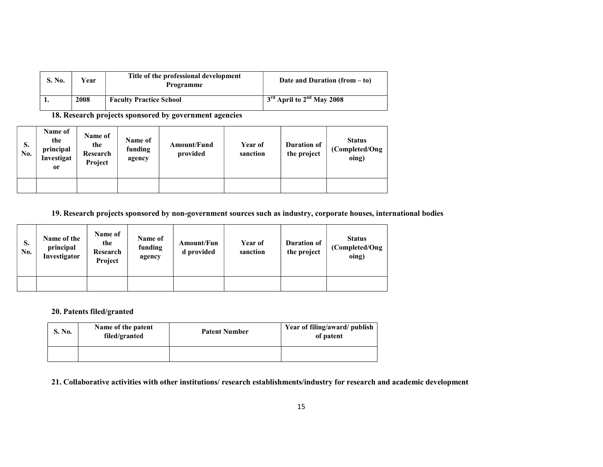| S. No. | Year | Title of the professional development<br><b>Programme</b> | Date and Duration $(from - to)$ |
|--------|------|-----------------------------------------------------------|---------------------------------|
|        | 2008 | <b>Faculty Practice School</b>                            | $3rd$ April to $2nd$ May 2008   |

18. Research projects sponsored by government agencies

| <b>S.</b><br>No. | Name of<br>the<br>principal<br>Investigat<br><sub>or</sub> | Name of<br>the<br>Research<br>Project | Name of<br>funding<br>agency | Amount/Fund<br>provided | Year of<br>sanction | Duration of<br>the project | <b>Status</b><br>(Completed/Ong)<br>oing) |
|------------------|------------------------------------------------------------|---------------------------------------|------------------------------|-------------------------|---------------------|----------------------------|-------------------------------------------|
|                  |                                                            |                                       |                              |                         |                     |                            |                                           |

#### 19. Research projects sponsored by non-government sources such as industry, corporate houses, international bodies

| S.<br>No. | Name of the<br>principal<br>Investigator | Name of<br>the<br>Research<br>Project | Name of<br>funding<br>agency | Amount/Fun<br>d provided | Year of<br>sanction | <b>Duration of</b><br>the project | <b>Status</b><br>(Completed/Ong)<br>oing) |
|-----------|------------------------------------------|---------------------------------------|------------------------------|--------------------------|---------------------|-----------------------------------|-------------------------------------------|
|           |                                          |                                       |                              |                          |                     |                                   |                                           |

#### 20. Patents filed/granted

| S. No. | Name of the patent<br>filed/granted | <b>Patent Number</b> | Year of filing/award/ publish<br>of patent |
|--------|-------------------------------------|----------------------|--------------------------------------------|
|        |                                     |                      |                                            |

#### 21. Collaborative activities with other institutions/ research establishments/industry for research and academic development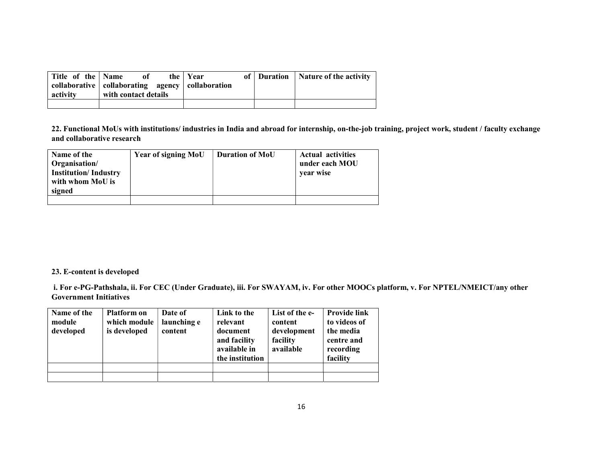| Title of the Name<br>activity | 0ť<br>collaborative   collaborating agency   collaboration<br>with contact details | the   Year | of   Duration   Nature of the activity |
|-------------------------------|------------------------------------------------------------------------------------|------------|----------------------------------------|
|                               |                                                                                    |            |                                        |

22. Functional MoUs with institutions/ industries in India and abroad for internship, on-the-job training, project work, student / faculty exchange and collaborative research

| Name of the<br>Organisation/<br><b>Institution/Industry</b><br>with whom MoU is<br>signed | <b>Year of signing MoU</b> | <b>Duration of MoU</b> | <b>Actual activities</b><br>under each MOU<br>vear wise |
|-------------------------------------------------------------------------------------------|----------------------------|------------------------|---------------------------------------------------------|
|                                                                                           |                            |                        |                                                         |

#### 23. E-content is developed

 i. For e-PG-Pathshala, ii. For CEC (Under Graduate), iii. For SWAYAM, iv. For other MOOCs platform, v. For NPTEL/NMEICT/any other Government Initiatives

| Name of the<br>module<br>developed | <b>Platform on</b><br>which module<br>is developed | Date of<br>launching e<br>content | Link to the<br>relevant<br>document<br>and facility<br>available in<br>the institution | List of the e-<br>content<br>development<br>facility<br>available | <b>Provide link</b><br>to videos of<br>the media<br>centre and<br>recording<br>facility |
|------------------------------------|----------------------------------------------------|-----------------------------------|----------------------------------------------------------------------------------------|-------------------------------------------------------------------|-----------------------------------------------------------------------------------------|
|                                    |                                                    |                                   |                                                                                        |                                                                   |                                                                                         |
|                                    |                                                    |                                   |                                                                                        |                                                                   |                                                                                         |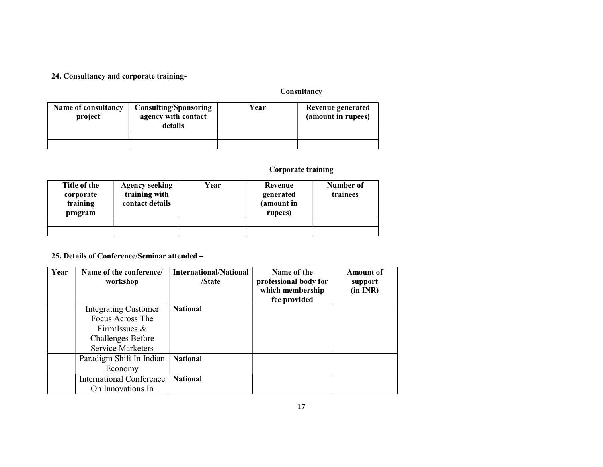#### 24. Consultancy and corporate training-

# **Consultancy**

| Name of consultancy<br>project | <b>Consulting/Sponsoring</b><br>agency with contact<br>details |  | Revenue generated<br>(amount in rupees) |
|--------------------------------|----------------------------------------------------------------|--|-----------------------------------------|
|                                |                                                                |  |                                         |
|                                |                                                                |  |                                         |

# Corporate training

| Title of the<br>corporate<br>training<br>program | <b>Agency seeking</b><br>training with<br>contact details | Year | Revenue<br>generated<br>(amount in<br>rupees) | Number of<br>trainees |
|--------------------------------------------------|-----------------------------------------------------------|------|-----------------------------------------------|-----------------------|
|                                                  |                                                           |      |                                               |                       |

#### 25. Details of Conference/Seminar attended –

| Year | Name of the conference/<br>workshop | <b>International/National</b><br>/State | Name of the<br>professional body for<br>which membership<br>fee provided | <b>Amount</b> of<br>support<br>(in INR) |
|------|-------------------------------------|-----------------------------------------|--------------------------------------------------------------------------|-----------------------------------------|
|      | <b>Integrating Customer</b>         | <b>National</b>                         |                                                                          |                                         |
|      | Focus Across The                    |                                         |                                                                          |                                         |
|      | Firm: Issues $\&$                   |                                         |                                                                          |                                         |
|      | <b>Challenges Before</b>            |                                         |                                                                          |                                         |
|      | <b>Service Marketers</b>            |                                         |                                                                          |                                         |
|      | Paradigm Shift In Indian            | <b>National</b>                         |                                                                          |                                         |
|      | Economy                             |                                         |                                                                          |                                         |
|      | <b>International Conference</b>     | <b>National</b>                         |                                                                          |                                         |
|      | On Innovations In                   |                                         |                                                                          |                                         |